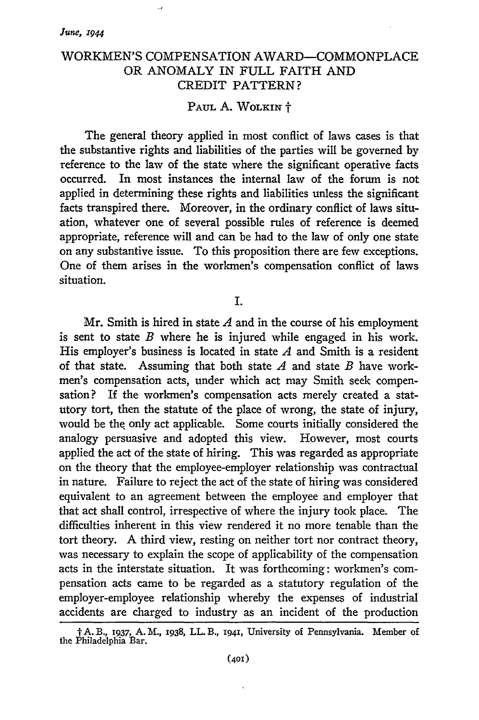## WORKMEN'S COMPENSATION AWARD-COMMONPLACE OR ANOMALY IN FULL FAITH AND CREDIT PATTERN?

## PAUL A. WOLKIN  $\dagger$

The general theory applied in most conflict of laws cases is that the substantive rights and liabilities of the parties will be governed by reference to the law of the state where the significant operative facts occurred. In most instances the internal law of the forum is not applied in determining these rights and liabilities unless the significant facts transpired there. Moreover, in the ordinary conflict of laws situation, whatever one of several possible rules of reference is deemed appropriate, reference will and can be had to the law of only one state on any substantive issue. To this proposition there are few exceptions. One of them arises in the workmen's compensation conflict of laws situation.

I.

Mr. Smith is hired in state *A* and in the course of his employment is sent to state *B* where he is injured while engaged in his work. His employer's business is located in state *A* and Smith is a resident of that state. Assuming that both state *A* and state *B* have workmen's compensation acts, under which act may Smith seek compensation? If the workmen's compensation acts merely created a statutory tort, then the statute of the place of wrong, the state of injury, would be the, only act applicable. Some courts initially considered the analogy persuasive and adopted this view. However, most courts applied the act of the state of hiring. This was regarded as appropriate on the theory that the employee-employer relationship was contractual in nature. Failure to reject the act of the state of hiring was considered equivalent to an agreement between the employee and employer that that act shall control, irrespective of where the injury took place. The difficulties inherent in this view rendered it no more tenable than the tort theory. **A** third view, resting on neither tort nor contract theory, was necessary to explain the scope of applicability of the compensation acts in the interstate situation. It was forthcoming: workmen's compensation acts came to be regarded as a statutory regulation of the employer-employee relationship whereby the expenses of industrial accidents are charged to industry as an incident of the production

t **A.** B., *1937,* A. M., 1938, LL. B., 1941, University of Pennsylvania. Member of the Philadelphia Bar.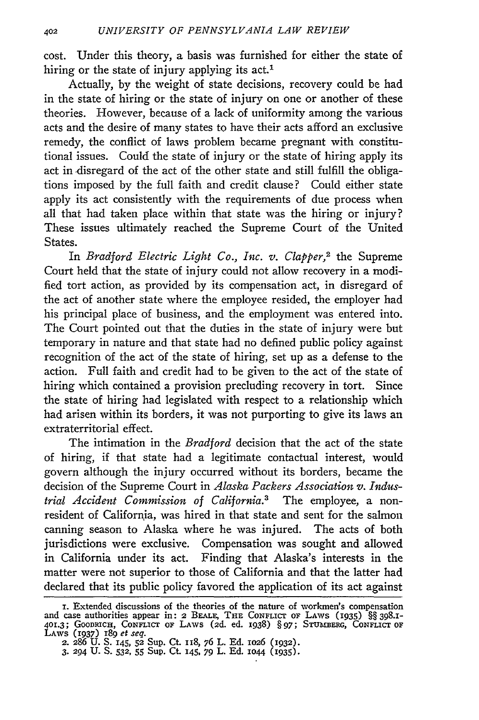cost. Under this theory, a basis was furnished for either the state of hiring or the state of injury applying its act.<sup>1</sup>

Actually, by the weight of state decisions, recovery could be had in the state of hiring or the state of injury on one or another of these theories. However, because of a lack of uniformity among the various acts and the desire of many states to have their acts afford an exclusive remedy, the conflict of laws problem became pregnant with constitutional issues. Could the state of injury or the state of hiring apply its act in disregard of the act of the other state and still fulfill the obligations imposed by the full faith and credit clause? Could either state apply its act consistently with the requirements of due process when all that had taken place within that state was the hiring or injury? These issues ultimately reached the Supreme Court of the United States.

In *Bradford Electric Light Co., Inc. v. Clapper,2* the Supreme Court held that the state of injury could not allow recovery in a modified tort action, as provided by its compensation act, in disregard of the act of another state where the employee resided, the employer had his principal place of business, and the employment was entered into. The Court pointed out that the duties in the state of injury were but temporary in nature and that state had no defined public policy against recognition of the act of the state of hiring, set up as a defense to the action. Full faith and credit had to be given to the act of the state of hiring which contained a provision precluding recovery in tort. Since the state of hiring had legislated with respect to a relationship which had arisen within its borders, it was not purporting to give its laws an extraterritorial effect.

The intimation in the *Bradford* decision that the act of the state of hiring, if that state had a legitimate contactual interest, would govern although the injury occurred without its borders, became the decision of the Supreme Court in *Alaska Packers Association v. Industrial Accident Commission of California.3* The employee, a nonresident of California, was hired in that state and sent for the salmon canning season to Alaska where he was injured. The acts of both jurisdictions were exclusive. Compensation was sought and allowed in California under its act. Finding that Alaska's interests in the matter were not superior to those of California and that the latter had declared that its public policy favored the application of its act against

I. Extended discussions of the theories of the nature of workmen's compensation<br>and case authorities appear in: 2 BEALE, THE CONFLICT OF LAWS (1935) §§ 398.1-<br>401.3; GOODRICH, CONFLICT OF LAWS (2d. ed. 1938) § 97; STUMBERG

<sup>2.</sup> 286 U. S. I45, **52** Sup. Ct. 118, 76 L. Ed. io26 (932). 3. 294 **U.** S. **532,** 55 Sup. Ct 145, 79 L. Ed. IO44 (1935).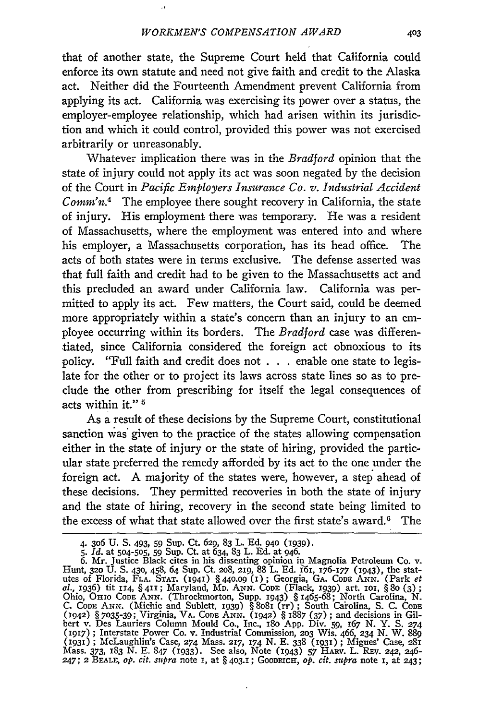that of another state, the Supreme Court held that California could enforce its own statute and need not give faith and credit to the Alaska act. Neither did the Fourteenth Amendment prevent California from applying its act. California was exercising its power over a status, the employer-employee relationship, which had arisen within its jurisdiction and which it could control, provided this power was not exercised arbitrarily or unreasonably.

Whatever implication there was in the *Bradford* opinion that the state of injury could not apply its act was soon negated by the decision of the Court in *Pacific Employers Insurance Co. v. Industrial Accident CoMM'n.4* The employee there sought recovery in California, the state of injury. His employment there was temporary. He was a resident of Massachusetts, where the employment was entered into and where his employer, a Massachusetts corporation, has its head office. The acts of both states were in terms exclusive. The defense asserted was that full faith and credit had to be given to the Massachusetts act and this precluded an award under California law. California was permitted to apply its act. Few matters, the Court said, could be deemed more appropriately within a state's concern than an injury to an employee occurring within its borders. The *Bradford* case was differentiated, since California considered the foreign act obnoxious to its policy. "Full faith and credit does not . . . enable one state to legislate for the other or to project its laws across state lines so as to preclude the other from prescribing for itself the legal consequences of acts within it." *5*

As a result of these decisions by the Supreme Court, constitutional sanction was given to the practice of the states allowing compensation either in the state of injury or the state of hiring, provided the particular state preferred the remedy afforded by its act to the one under the foreign act. A majority of the states were, however, a step ahead of these decisions. They permitted recoveries in both the state of injury and the state of hiring, recovery in the second state being limited to the excess of what that state allowed over the first state's award.<sup>6</sup> The

<sup>4.</sup> **306** U. S. 493, **59** Sup. Ct. *629,* 83 L. Ed. 94o (1939).

*<sup>5.</sup> Id.* at 504-505, **59** Sup. Ct. at 634, 83 L. Ed. at 946.

<sup>6.</sup> Mr. Justice Black cites in his dissenting opinion in Magnolia Petroleum Co. v. Hunt, **320** U. S. 430, 458, 64 Sup. Ct. **208,** 219, 88 L. Ed. 161, 176-177 (1943), the statutes of Florida, **FLA. STAT.** (194) § 44o.o9 (I) **;** Georgia, GA. CODE **ANN.** (Park et *al.,* 1936) tit 114, § 411; Maryland, MD. **ANN. CODE** (Flack, 1939) art. **101,** § **8o** (3); Ohio, OHIO CODE ANN. (Throckmorton, Supp. 1943) § 1465-68; North Carolina, N.<br>C. CoDE ANN. (Michie and Sublett, 1939) § 8081 (rr); South Carolina, S. C. CoDE<br>(1942) § 7035-39; Virginia, VA. CoDE ANN. (1942) § 1887 (37); an (1917) **;** Interstate Power Co. v. Industrial Commission, 2o3 Wis. 466, 234 N. W. *889* (193) ; McLaughlin's Case, 274 Mass. **217,** 174 N. E. 338 (1931 ; Migues' Case, 281 Mass. 373, 183 N. E. 847 (1933). See also, Note (1943) 57 HARV. L. REV. 242, 246<br>247: 2 BEALE, op. cit. supra note 1, at § 403.1; GOODRICH, op. cit. supra note 1, at 243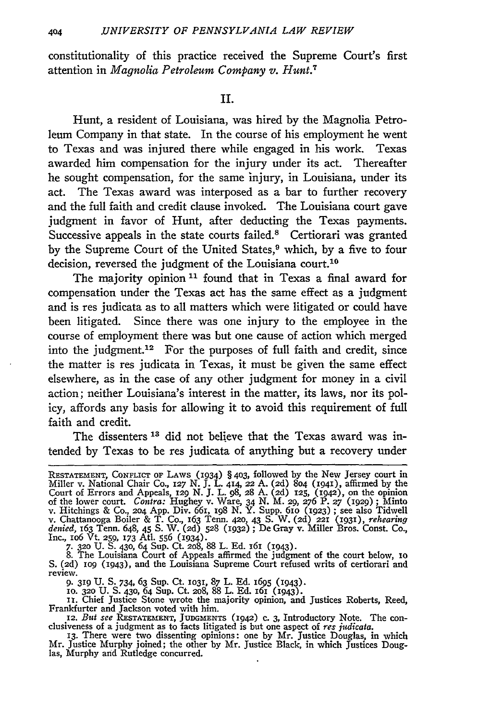constitutionality of this practice received the Supreme Court's first attention in *Magnolia Petroleum Company v. Hunt.7*

**Ii.**

Hunt, a resident of Louisiana, was hired by the Magnolia Petroleum Company in that state. In the course of his employment he went to Texas and was injured there while engaged in his work. Texas awarded him compensation for the injury under its act. Thereafter he sought compensation, for the same injury, in Louisiana, under its act. The Texas award was interposed as a bar to further recovery and the full faith and credit clause invoked. The Louisiana court gave judgment in favor of Hunt, after deducting the Texas payments. Successive appeals in the state courts failed.8 Certiorari was granted by the Supreme Court of the United States,<sup>9</sup> which, by a five to four decision, reversed the judgment of the Louisiana court.<sup>10</sup>

The majority opinion **11** found that in Texas a final award for compensation under the Texas act has the same effect as a judgment and is res judicata as to all matters which were litigated or could have been litigated. Since there was one injury to the employee in the course of employment there was but one cause of action which merged into the judgment.<sup>12</sup> For the purposes of full faith and credit, since the matter is res judicata in Texas, it must be given the same effect elsewhere, as in the case of any other judgment for money in a civil action; neither Louisiana's interest in the matter, its laws, nor its policy, affords any basis for allowing it to avoid this requirement of full faith and credit.

The dissenters **13** did not believe that the Texas award was intended by Texas to be res judicata of anything but a recovery under

9. **319** U. S. 734, 63 Sup. Ct. **1O31,** 87 L. Ed. 1695 (1943). **10. 320** U. **S.** 430, 64 Sup. Ct. **208,** 88 L. Ed. 161 (I943).

II. Chief Justice Stone wrote the majority opinion, and Justices Roberts, Reed<br>Frankfurter and Jackson voted with him.<br>I2. But see RESTATEMENT, JUDGMENTS (1942) c. 3, Introductory Note. The con-<br>clusiveness of a judgment a

**13.** There were two dissenting opinions: one by Mr. justice Douglas, in which

Mr. Justice Murphy joined; the other by Mr. Justice Black, in which Justices Douglas, Murphy and Rutledge concurred.

RESTATEMENT, CONFLICT OF LAWS (1934) § 403, followed by the New Jersey court in Miller v. National Chair Co., 127 N. J. L. 414, 22 A. (2d) 804 (1941), affirmed by the Court of Errors and Appeals, 129 N. J. L. 98, 28 A. (2d) 125, (1942), on the opinior of the lower court. Contra: Hughey v. Ware, 34 N. M. 29, 276 P. 27 (1929); Minto v. Hitchings & Co., 204 App. Div. 661, 198 N. Y. Supp. 6 v. Chattanooga Boiler & T. Co., 163 Tenn. 42o, 43 S. W. (2d) **221 (1931),** *rehearing denied,* 163 Tenn. 648, 45 S. W. **(2d)** 528 (1932) **;** De Gray v. Miller Bros. Const. Co., Inc., 106 Vt. 259, 173 Atl. 556 (1934).<br>
7. 320 U. S. 430, 64 Sup. Ct. 208, 88 L. Ed. 161 (1943).<br>
8. The Louisiana Court of Appeals affirmed the judgment of the court below, **10** 

S. (2d) **109** (1943), and the Louisiana Supreme Court refused writs of certiorari and review.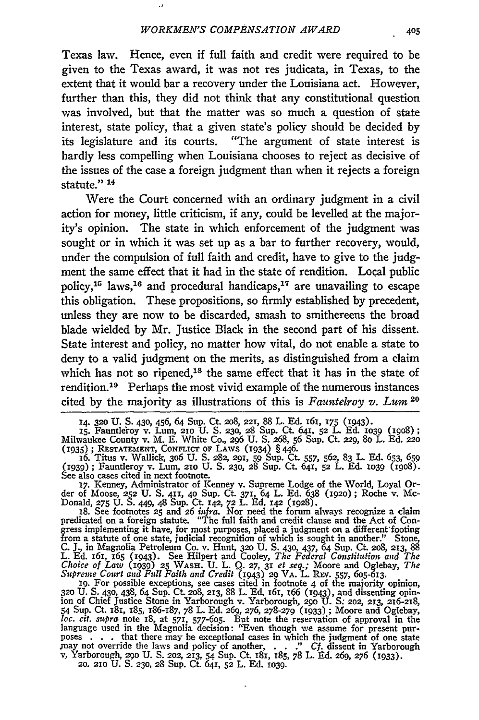$\lambda$ 

Texas law. Hence, even if full faith and credit were required to be given to the Texas award, it was not res judicata, in Texas, to the extent that it would bar a recovery under the Louisiana act. However, further than this, they did not think that any constitutional question was involved, but that the matter was so much a question of state interest, state policy, that a given state's policy should be decided by its legislature and its courts. "The argument of state interest is hardly less compelling when Louisiana chooses to reject as decisive of the issues of the case a foreign judgment than when it rejects a foreign statute."<sup>14</sup>

Were the Court concerned with an ordinary judgment in a civil action for money, little criticism, if any, could be levelled at the majority's opinion. The state in which enforcement of the judgment was sought or in which it was set **up** as a bar to further recovery, would, under the compulsion of full faith and credit, have to give to the judgment the same effect that it had in the state of rendition. Local public policy,<sup>15</sup> laws,<sup>16</sup> and procedural handicaps,<sup>17</sup> are unavailing to escape this obligation. These propositions, so firmly established by precedent, unless they are now to be discarded, smash to smithereens the broad blade wielded by Mr. Justice Black in the second part of his dissent. State interest and policy, no matter how vital, do not enable a state to deny to a valid judgment on the merits, as distinguished from a claim which has not so ripened, $18$  the same effect that it has in the state of rendition.<sup>19</sup> Perhaps the most vivid example of the numerous instances cited by the majority as illustrations of this is *Fauntelroy v. Lum <sup>2</sup> <sup>0</sup>*

der of Moose, **252** U. S. 411, **40** Sup. Ct. **371,** 64 L. Ed. 638 (1920); Roche v. Mc-Donald, **275** U. **S.** 449, 48 Sup. Ct 142, **72** L. Ed. 142 (1928).

18. See footnotes 25 and 26 *infra*. Nor need the forum always recognize a claim predicated on a foreign statute. "The full faith and credit clause and the Act of Congress implementing it have, for most purposes, placed a from a statute of one state, judicial recognition of which is sought in another." Stone, C. J., in Magnolia Petroleum Co. v. Hunt, 320 U. S. 430, 437, 64 Sup. Ct. 208, 213, 88<br>L. Ed. 161, 165 (1943). See Hilpert and Coole

ion of Chief Justice Stone in Yarborough v. Yarborough, 290 U. S. 202, 213, 216-218,<br>54 Sup. Ct. 181, 185, 186-187, 78 L. Ed. 269, 276, 278-279 (1933); Moore and Oglebay,<br>loc. cit. supra note 18, at 571, 577-605. But note language used in the Magnolia decision: "Even though we assume for present purposes ... that there may be exceptional cases in which the judgment of one state<br>may not override the laws and policy of another, ... " Cf. dissent in Yarborough<br>v. Yarborough, 200 U. S. 202, 213, 54 Sup. Ct. 181, 185, 78 **20. 210** U. **S. 230,** 28 Sup. Ct. 641, **52** L. Ed. io39.

<sup>14.</sup> **320** U. **S.** 430, 456, 64 Sup. Ct. 2o8, 221, 88 L. Ed. 161, **175** (1943). **15.** Fauntle'roy v. Lum, 2io **U. S. 230,** 28 Sup. Ct. 641, **52** L. **Ed.** 1O39 (i9o8);

Milwaukee County v. M. E. White Co., 296 U. S. 268, 56 Sup. Ct. 229, 80 L. Ed. 220<br>(1935); RESTATEMENT, CONFLICT OF LAWS (1934) § 446.<br>16. Titus v. Wallick, 306 U. S. 282, 291, 59 Sup. Ct. 557, 562, 83 L. Ed. 653, 659

<sup>(1939);</sup> Fauntleroy v. Lum, 210 U. S. 230, 28 Sup. Ct. 641, 52 L. Ed. 1039 (1908).<br>See also cases cited in next footnote.<br>17. Kenney, Administrator of Kenney v. Supreme Lodge of the World, Loyal Or-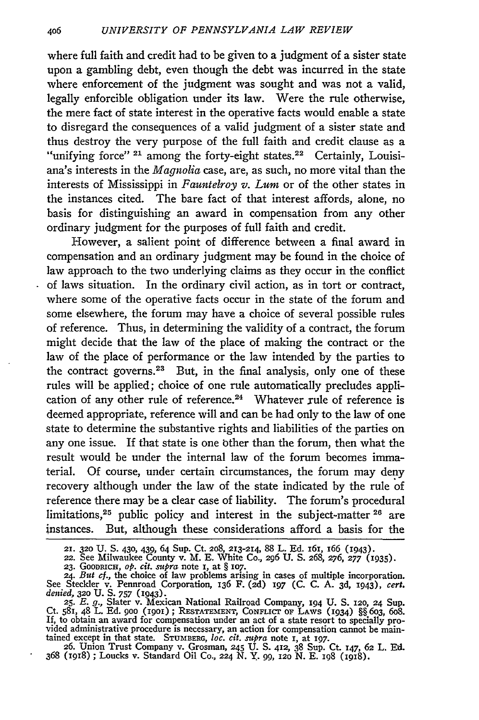where full faith and credit had to be given to a judgment of a sister state upon a gambling debt, even though the debt was incurred in the state where enforcement of the judgment was sought and was not a valid, legally enforcible obligation under its law. Were the rule otherwise, the mere fact of state interest in the operative facts would enable a state to disregard the consequences of a valid judgment of a sister state and thus destroy the very purpose of the full faith and credit clause as a "unifying force" <sup>21</sup> among the forty-eight states.<sup>22</sup> Certainly, Louisiana's interests in the *Magnolia* case, are, as such, no more vital than the interests of Mississippi in *Fauntelroy v. Lum* or of the other states in the instances cited. The bare fact of that interest affords, alone, no basis for distinguishing an award in compensation from any other ordinary judgment for the purposes of full faith and credit.

However, a salient point of difference between a final award in compensation and an ordinary judgment may be found in the choice of law approach to the two underlying claims as they occur in the conflict of laws situation. In the ordinary civil action, as in tort or contract, where some of the operative facts occur in the state of the forum and some elsewhere, the forum may have a choice of several possible rules of reference. Thus, in determining the validity of a contract, the forum might decide that the law of the place of making the contract or the law of the place of performance or the law intended by the parties to the contract governs.<sup>23</sup> But, in the final analysis, only one of these rules will be applied; choice of one rule automatically precludes application of any other rule of reference.<sup>24</sup> Whatever rule of reference is deemed appropriate, reference will and can be had only to the law of one state to determine the substantive rights and liabilities of the parties on any one issue. If that state is one bther than the forum, then what the result would be under the internal law of the forum becomes immaterial. Of course, under certain circumstances, the forum may deny recovery although under the law of the state indicated by the rule of reference there may be a clear case of liability. The forum's procedural limitations, 25 public policy and interest in the subject-matter **26** are instances. But, although these considerations afford a basis for the

<sup>21. 320</sup> U. S. 430, 439, 64 Sup. Ct. 208, 213-214, 88 L. Ed. 161, 166 (1943).<br>22. See Milwaukee County v. M. E. White Co., 296 U. S. 268, 276, 277 (1935).<br>23. Goodnach, op. cit. supra note 1, at § 107.<br>24. But cf., the cho

Ct. 581, 48 L. Ed. 900 (1901); RESTATEMENT, CONFLICT OF LAWS (1934) §§ 603, 608<br>If, to obtain an award for compensation under an act of a state resort to specially pro-<br>vided administrative procedure is necessary, an actio tained except in that state. **STUMBERG,** *loc.* cit. *supra* note I, at 197. **26.** Union Trust Company v. Grosman, **245** U. **S.** 412, 38 Sup. Ct. 147, 62 L. Ed.

<sup>368 (1918) ;</sup> Loucks v. Standard Oil Co., **224** N. Y. 99, 12o N. E. 198 (igi).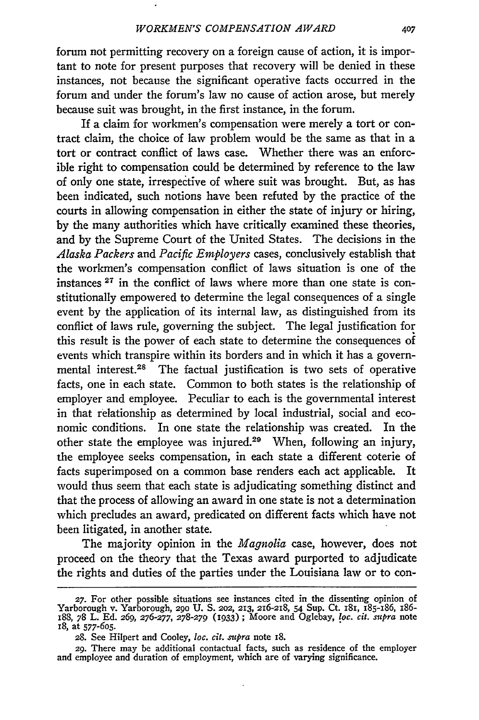forum not permitting recovery on a foreign cause of action, it is important to note for present purposes that recovery will be denied in these instances, not because the significant operative facts occurred in the forum and under the forum's law no cause of action arose, but merely because suit was brought, in the first instance, in the forum.

If a claim for workmen's compensation were merely a tort or contract claim, the choice of law problem would be the same as that in a tort or contract conflict of laws case. Whether there was an enforcible right to compensation could be determined by reference to the law of only one state, irrespective of where suit was brought. But, as has been indicated, such notions have been refuted by the practice of the courts in allowing compensation in either the state of injury or hiring, by the many authorities which have critically examined these theories, and by the Supreme Court of the United States. The decisions in the *Alaska Packers* and *Pacific Employers* cases, conclusively establish that the workmen's compensation conflict of laws situation is one of the instances **27** in the conflict of laws where more than one state is constitutionally empowered to determine the legal consequences of a single event by the application of its internal law, as distinguished from its conflict of laws rule, governing the subject. The legal justification for this result is the power of each state to determine the consequences of events which transpire within its borders and in which it has a governmental interest.<sup>28</sup> The factual justification is two sets of operative facts, one in each state. Common to both states is the relationship of employer and employee. Peculiar to each is the governmental interest in that relationship as determined by local industrial, social and economic conditions. In one state the relationship was created. In the other state the employee was injured.<sup>29</sup> When, following an injury, the employee seeks compensation, in each state a different coterie of facts superimposed on a common base renders each act applicable. It would thus seem that each state is adjudicating something distinct and that the process of allowing an award in one state is not a determination which precludes an award, predicated on different facts which have not been litigated, in another state.

The majority opinion in the *Magnolia* case, however, does not proceed on the theory that the Texas award purported to adjudicate the rights and duties of the parties under the Louisiana law or to con-

<sup>27.</sup> For other possible situations see instances cited in the dissenting opinion of Yarborough v. Yarborough, 290 U. S. 202, 213, 216-218, 54 Sup. Ct. 181, 185-186, 186-188, 78 L. Ed. 269, 276-277, 278-279 (1933); Moore and 1S, at **577-605.**

*<sup>28.</sup>* See Hilpert and Cooley, *loc. cit. supra* note I8.

<sup>29.</sup> There may be additional contactual facts, such as residence of the employer and employee and duration of employment, which are of varying significance.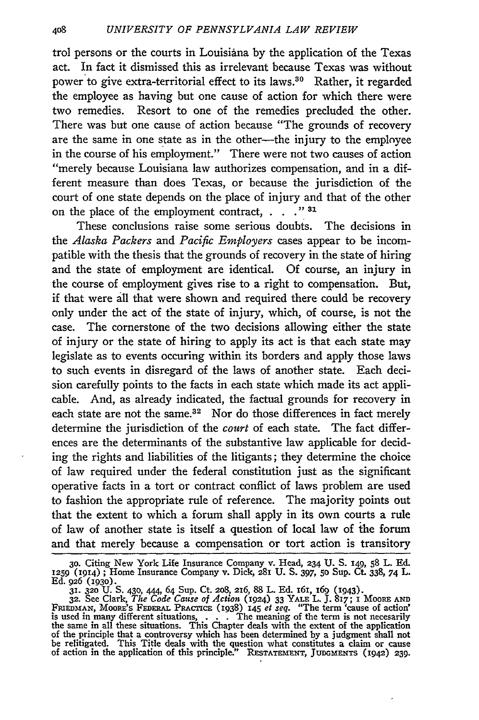trol persons or the courts in Louisiana by the application of the Texas act. In fact it dismissed this as irrelevant because Texas was without power to give extra-territorial effect to its laws.30 Rather, it regarded the employee as having but one cause of action for which there were two remedies. Resort to one of the remedies precluded the other. There was but one cause of action because "The grounds of recovery are the same in one state as in the other--the injury to the employee in the course of his employment." There were not two causes of action "merely because Louisiana law authorizes compensation, and in a different measure than does Texas, or because the jurisdiction of the court of one state depends on the place of injury and that of the other on the place of the employment contract, . . . "<sup>31</sup>

These conclusions raise some serious doubts. The decisions in the *Alaska Packers* and *Pacific Employers* cases appear to be incompatible with the thesis that the grounds of recovery in the state of hiring and the state of employment are identical. Of course, an injury in the course of employment gives rise to a right to compensation. But, if that were all that were shown and required there could be recovery only under the act of the state of injury, which, of course, is not the case. The cornerstone of the two decisions allowing either the state of injury or the state of hiring to apply its act is that each state may legislate as to events occuring within its borders and apply those laws to such events in disregard of the laws of another state. Each decision carefully points to the facts in each state which made its act applicable. And, as already indicated, the factual grounds for recovery in each state are not the same.<sup>32</sup> Nor do those differences in fact merely determine the jurisdiction of the *court* of each state. The fact differences are the determinants of the substantive law applicable for deciding the rights and liabilities of the litigants; they determine the choice of law required under the federal constitution just as the significant operative facts in a tort or contract conflict of laws problem are used to fashion the appropriate rule of reference. The majority points out that the extent to which a forum shall apply in its own courts a rule of law of another state is itself a question of local law of the forum and that merely because a compensation or tort action is transitory

**<sup>30.</sup>** Citing New York Life Insurance Company v. Head, 234 **U. S.** i49, **58** L. **Ed. <sup>1259</sup>**(1914) **;** Home Insurance Company v. Dick, **281** U. S. 397, **50** Sup. Ct 338, 74 L.

Ed. 926 (1930).<br>31. 320 U. S. 430, 444, 64 Sup. Ct. 208, 216, 88 L. Ed. 161, 169 (1943).<br>32. See Clark, *The Code Cause of Action* (1924) 33 YALE L. J. 817; 1 Moore AND<br>FRIEDMAN, MOORE'S FEDERAL PRACTICE (1938) 145 et seq. of the principle that a controversy which has been determined by a judgment shall not<br>be relitigated. This Title deals with the question what constitutes a claim or cause<br>of action in the application of this principle." RE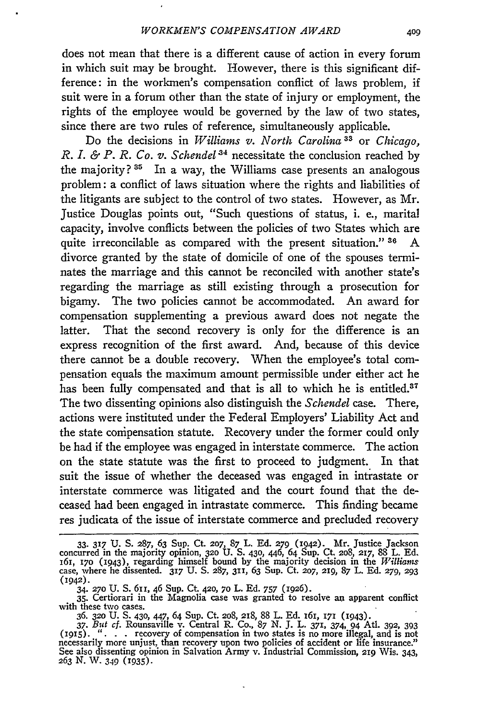does not mean that there is a different cause of action in every forum in which suit may be brought. However, there is this significant difference: in the workmen's compensation conflict of laws problem, if suit were in a forum other than the state of injury or employment, the rights of the employee would be governed by the law of two states, since there are two rules of reference, simultaneously applicable.

Do the decisions in *Williams v. North Carolina 33* or *Chicago, R. I. & P. R. Co. v. Schendel*<sup>34</sup> necessitate the conclusion reached by the majority? **3'** In a way, the Williams case presents an analogous problem: a conflict of laws situation where the rights and liabilities of the litigants are subject to the control of two states. However, as Mr. Justice Douglas points out, "Such questions of status, i. e., marital capacity, involve conflicts between the policies of two States which are quite irreconcilable as compared with the present situation." **36** A divorce granted by the state of domicile of one of the spouses terminates the marriage and this cannot be reconciled with another state's regarding the marriage as still existing through a prosecution for bigamy. The two policies cannot be accommodated. An award for compensation supplementing a previous award does not negate the latter. That the second recovery is only for the difference is an express recognition of the first award. And, because of this device there cannot be a double recovery. When the employee's total compensation equals the maximum amount permissible under either act he has been fully compensated and that is all to which he is entitled.<sup>37</sup> The two dissenting opinions also distinguish the *Schendel* case. There, actions were instituted under the Federal Employers' Liability Act and the state compensation statute. Recovery under the former could only be had if the employee was engaged in interstate commerce. The action on the state statute was the first to proceed to judgment. In that suit the issue of whether the deceased was engaged in intrastate or interstate commerce was litigated and the court found that the deceased had been engaged in intrastate commerce. This finding became res judicata of the issue of interstate commerce and precluded recovery

<sup>33.</sup> **317** U. S. **287,** 63 Sup. Ct. **207,** 87 L. Ed. **279** (1942). Mr. Justice Jackson concurred in the majority opinion, **320 U. S.** 430, 446, 64 Sup. Ct. 208, **217,** 88 L. **Ed.** 161, **170** (1943), regarding himself bound **by** the majority decision in the *Williams* case, where he dissented. **317** U. S. **287, 311,** 63 Sup. Ct. *207,* **219,** 87 L. **Ed. 279, 293** (1942).

<sup>34.</sup> **270** U. S. 611, 46 Sup. Ct. **42o,** *7o* L. **Ed.** *757* **(1926). 35.** Certiorari in the Magnolia case was granted to resolve an apparent conflict with these two cases. 36. **320** U. **S.** 430, 447, 64 Sup. Ct. 208, **218,** 88 L. **Ed.** i61, *i7i* (1943).

<sup>37.</sup> But cf. Rounsaville v. Central R. Co.,  $87$  N. J. L.  $371$ ,  $374$ ,  $94$  Atl. 392, 393<br>(1915). "... recovery of compensation in two states is no more illegal, and is not<br>necessarily more unjust, than recovery upon two See also dissenting opinion in Salvation Army v. Industrial Commission, 219 Wis. 343, *263 N.* W. 349 (i935).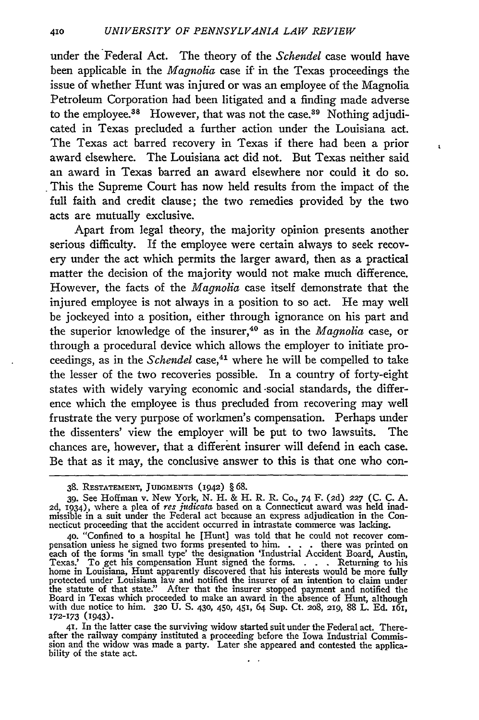under the Federal Act. The theory of the *Schendel* case would have been applicable in the *Magnolia* case if in the Texas proceedings the issue of whether Hunt was injured or was an employee of the Magnolia Petroleum Corporation had been litigated and a finding made adverse to the employee.<sup>38</sup> However, that was not the case.<sup>39</sup> Nothing adjudicated in Texas precluded a further action under the Louisiana act. The Texas act barred recovery in Texas if there had been a prior award elsewhere. The Louisiana act did not. But Texas neither said an award in Texas barred an award elsewhere nor could it do so. This the Supreme Court has now held results from the impact of the full faith and credit clause; the two remedies provided by the two acts are mutually exclusive.

 $\mathbf{r}$ 

Apart from legal theory, the majority opinion presents another serious difficulty. If the employee were certain always to seek recovery under the act which permits the larger award, then as a practical matter the decision of the majority would not make much difference. However, the facts of the *Magnolia* case itself demonstrate that the injured employee is not always in a position to so act. He may well be jockeyed into a position, either through ignorance on his part and the superior knowledge of the insurer,<sup>40</sup> as in the *Magnolia* case, or through a procedural device which allows the employer to initiate proceedings, as in the *Schendel* case,<sup>41</sup> where he will be compelled to take the lesser of the two recoveries possible. In a country of forty-eight states with widely varying economic and -social standards, the difference which the employee is thus precluded from recovering may well frustrate the very purpose of workmen's compensation. Perhaps under the dissenters' view the employer will be put to two lawsuits. The chances are, however, that a different insurer will defend in each case. Be that as it may, the conclusive answer to this is that one who con-

**<sup>38.</sup> RESTATEMENT, JUDGMENTS** (1942) § **68.**

<sup>39.</sup> See Hoffman v. New York, N. H. & H. R. R. Co., 74 F. (2d) **227** (C. C. A. **2d,** 1934), where a plea of res *judicata* based on a Connecticut award was held inadmissible in a suit under the Federal act because an express adjudication in the Con-necticut proceeding that the accident occurred in intrastate commerce was lacking.

<sup>40. &</sup>quot;Confined to a hospital he [Hunt] was told that he could not recover com-<br>pensation uniess he signed two forms presented to him..... there was printed on<br>each of the forms 'in small type' the designation 'Industrial A Board in Texas which proceeded to make an award in the absence of Hunt, although with due notice to him. **320** U. S. 430, 450, 451, 64 Sup. Ct. 2o8, **219,** 88 L. Ed. I6i, **172-173** (943). **41.** In the latter case the surviving widow started suit under the Federal act. There-

after the railway company instituted a proceeding before the Iowa Industrial Commis-sion and the widow was made a party. Later she appeared and contested the applicability of the state act.